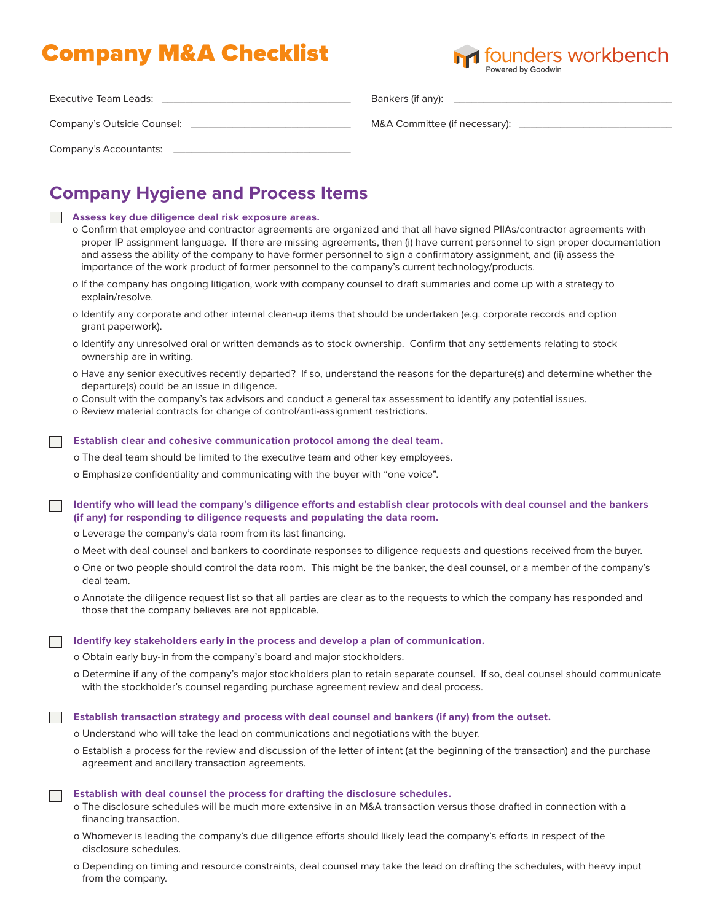# Company M&A Checklist



| Executive Team Leads:      | Bankers (if any):             |
|----------------------------|-------------------------------|
| Company's Outside Counsel: | M&A Committee (if necessary): |
| Company's Accountants:     |                               |

## **Company Hygiene and Process Items**

|  |  |  |  |  |  |  | Assess key due diligence deal risk exposure areas. |  |
|--|--|--|--|--|--|--|----------------------------------------------------|--|
|--|--|--|--|--|--|--|----------------------------------------------------|--|

- o Confirm that employee and contractor agreements are organized and that all have signed PIIAs/contractor agreements with proper IP assignment language. If there are missing agreements, then (i) have current personnel to sign proper documentation and assess the ability of the company to have former personnel to sign a confirmatory assignment, and (ii) assess the importance of the work product of former personnel to the company's current technology/products.
- o If the company has ongoing litigation, work with company counsel to draft summaries and come up with a strategy to explain/resolve.
- o Identify any corporate and other internal clean-up items that should be undertaken (e.g. corporate records and option grant paperwork).
- o Identify any unresolved oral or written demands as to stock ownership. Confirm that any settlements relating to stock ownership are in writing.
- o Have any senior executives recently departed? If so, understand the reasons for the departure(s) and determine whether the departure(s) could be an issue in diligence.
- o Consult with the company's tax advisors and conduct a general tax assessment to identify any potential issues.
- o Review material contracts for change of control/anti-assignment restrictions.

### **Establish clear and cohesive communication protocol among the deal team.**

- o The deal team should be limited to the executive team and other key employees.
- o Emphasize confidentiality and communicating with the buyer with "one voice".

**Identify who will lead the company's diligence efforts and establish clear protocols with deal counsel and the bankers (if any) for responding to diligence requests and populating the data room.**

- o Leverage the company's data room from its last financing.
- o Meet with deal counsel and bankers to coordinate responses to diligence requests and questions received from the buyer.
- o One or two people should control the data room. This might be the banker, the deal counsel, or a member of the company's deal team.
- o Annotate the diligence request list so that all parties are clear as to the requests to which the company has responded and those that the company believes are not applicable.

#### **Identify key stakeholders early in the process and develop a plan of communication.**

- o Obtain early buy-in from the company's board and major stockholders.
- o Determine if any of the company's major stockholders plan to retain separate counsel. If so, deal counsel should communicate with the stockholder's counsel regarding purchase agreement review and deal process.

**Establish transaction strategy and process with deal counsel and bankers (if any) from the outset.**

- o Understand who will take the lead on communications and negotiations with the buyer.
- o Establish a process for the review and discussion of the letter of intent (at the beginning of the transaction) and the purchase agreement and ancillary transaction agreements.

**Establish with deal counsel the process for drafting the disclosure schedules.**

- o The disclosure schedules will be much more extensive in an M&A transaction versus those drafted in connection with a financing transaction.
- o Whomever is leading the company's due diligence efforts should likely lead the company's efforts in respect of the disclosure schedules.
- o Depending on timing and resource constraints, deal counsel may take the lead on drafting the schedules, with heavy input from the company.